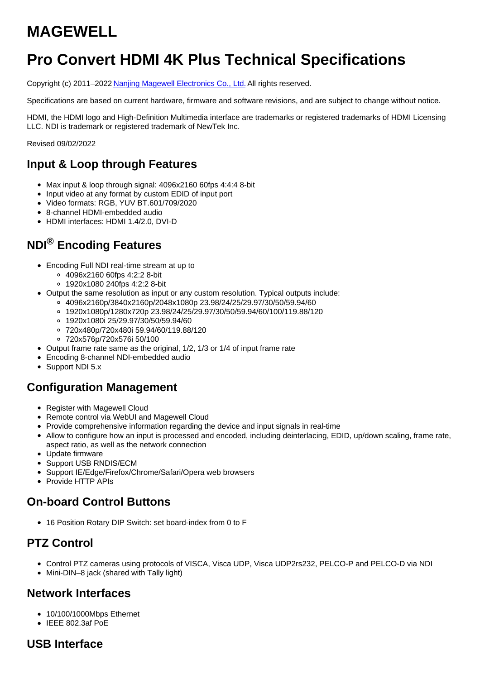# **MAGEWELL**

# **Pro Convert HDMI 4K Plus Technical Specifications**

Copyright (c) 2011–2022 Nanjing Magewell [Electronics](http://www.magewell.com) Co., Ltd. All rights reserved.

Specifications are based on current hardware, firmware and software revisions, and are subject to change without notice.

HDMI, the HDMI logo and High-Definition Multimedia interface are trademarks or registered trademarks of HDMI Licensing LLC. NDI is trademark or registered trademark of NewTek Inc.

Revised 09/02/2022

## **Input & Loop through Features**

- Max input & loop through signal: 4096x2160 60fps 4:4:4 8-bit
- Input video at any format by custom EDID of input port
- Video formats: RGB, YUV BT.601/709/2020
- 8-channel HDMI-embedded audio
- HDMI interfaces: HDMI 1.4/2.0, DVI-D

# **NDI® Encoding Features**

- Encoding Full NDI real-time stream at up to
	- 4096x2160 60fps 4:2:2 8-bit
	- 1920x1080 240fps 4:2:2 8-bit
- Output the same resolution as input or any custom resolution. Typical outputs include:
	- 4096x2160p/3840x2160p/2048x1080p 23.98/24/25/29.97/30/50/59.94/60
	- 1920x1080p/1280x720p 23.98/24/25/29.97/30/50/59.94/60/100/119.88/120
	- 1920x1080i 25/29.97/30/50/59.94/60
	- 720x480p/720x480i 59.94/60/119.88/120
	- 720x576p/720x576i 50/100
- Output frame rate same as the original, 1/2, 1/3 or 1/4 of input frame rate
- Encoding 8-channel NDI-embedded audio
- Support NDI 5.x

#### **Configuration Management**

- Register with Magewell Cloud
- Remote control via WebUI and Magewell Cloud
- Provide comprehensive information regarding the device and input signals in real-time
- Allow to configure how an input is processed and encoded, including deinterlacing, EDID, up/down scaling, frame rate, aspect ratio, as well as the network connection
- Update firmware
- Support USB RNDIS/ECM
- Support IE/Edge/Firefox/Chrome/Safari/Opera web browsers
- Provide HTTP APIs

#### **On-board Control Buttons**

16 Position Rotary DIP Switch: set board-index from 0 to F

### **PTZ Control**

- Control PTZ cameras using protocols of VISCA, Visca UDP, Visca UDP2rs232, PELCO-P and PELCO-D via NDI
- Mini-DIN–8 jack (shared with Tally light)

#### **Network Interfaces**

- 10/100/1000Mbps Ethernet
- IEEE 802.3af PoE

### **USB Interface**